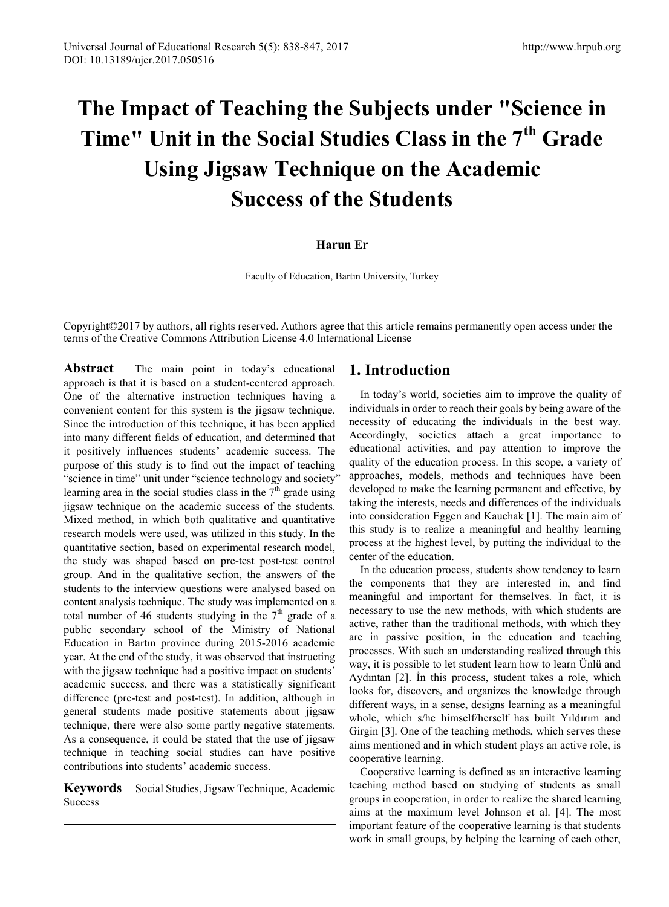# **The Impact of Teaching the Subjects under "Science in Time" Unit in the Social Studies Class in the 7th Grade Using Jigsaw Technique on the Academic Success of the Students**

### **Harun Er**

Faculty of Education, Bartın University, Turkey

Copyright©2017 by authors, all rights reserved. Authors agree that this article remains permanently open access under the terms of the Creative Commons Attribution License 4.0 International License

**Abstract** The main point in today's educational approach is that it is based on a student-centered approach. One of the alternative instruction techniques having a convenient content for this system is the jigsaw technique. Since the introduction of this technique, it has been applied into many different fields of education, and determined that it positively influences students' academic success. The purpose of this study is to find out the impact of teaching "science in time" unit under "science technology and society" learning area in the social studies class in the  $7<sup>th</sup>$  grade using jigsaw technique on the academic success of the students. Mixed method, in which both qualitative and quantitative research models were used, was utilized in this study. In the quantitative section, based on experimental research model, the study was shaped based on pre-test post-test control group. And in the qualitative section, the answers of the students to the interview questions were analysed based on content analysis technique. The study was implemented on a total number of 46 students studying in the  $7<sup>th</sup>$  grade of a public secondary school of the Ministry of National Education in Bartın province during 2015-2016 academic year. At the end of the study, it was observed that instructing with the jigsaw technique had a positive impact on students' academic success, and there was a statistically significant difference (pre-test and post-test). In addition, although in general students made positive statements about jigsaw technique, there were also some partly negative statements. As a consequence, it could be stated that the use of jigsaw technique in teaching social studies can have positive contributions into students' academic success.

Keywords Social Studies, Jigsaw Technique, Academic Success

# **1. Introduction**

In today's world, societies aim to improve the quality of individuals in order to reach their goals by being aware of the necessity of educating the individuals in the best way. Accordingly, societies attach a great importance to educational activities, and pay attention to improve the quality of the education process. In this scope, a variety of approaches, models, methods and techniques have been developed to make the learning permanent and effective, by taking the interests, needs and differences of the individuals into consideration Eggen and Kauchak [1]. The main aim of this study is to realize a meaningful and healthy learning process at the highest level, by putting the individual to the center of the education.

In the education process, students show tendency to learn the components that they are interested in, and find meaningful and important for themselves. In fact, it is necessary to use the new methods, with which students are active, rather than the traditional methods, with which they are in passive position, in the education and teaching processes. With such an understanding realized through this way, it is possible to let student learn how to learn Ünlü and Aydıntan [2]. İn this process, student takes a role, which looks for, discovers, and organizes the knowledge through different ways, in a sense, designs learning as a meaningful whole, which s/he himself/herself has built Yıldırım and Girgin [3]. One of the teaching methods, which serves these aims mentioned and in which student plays an active role, is cooperative learning.

Cooperative learning is defined as an interactive learning teaching method based on studying of students as small groups in cooperation, in order to realize the shared learning aims at the maximum level Johnson et al. [4]. The most important feature of the cooperative learning is that students work in small groups, by helping the learning of each other,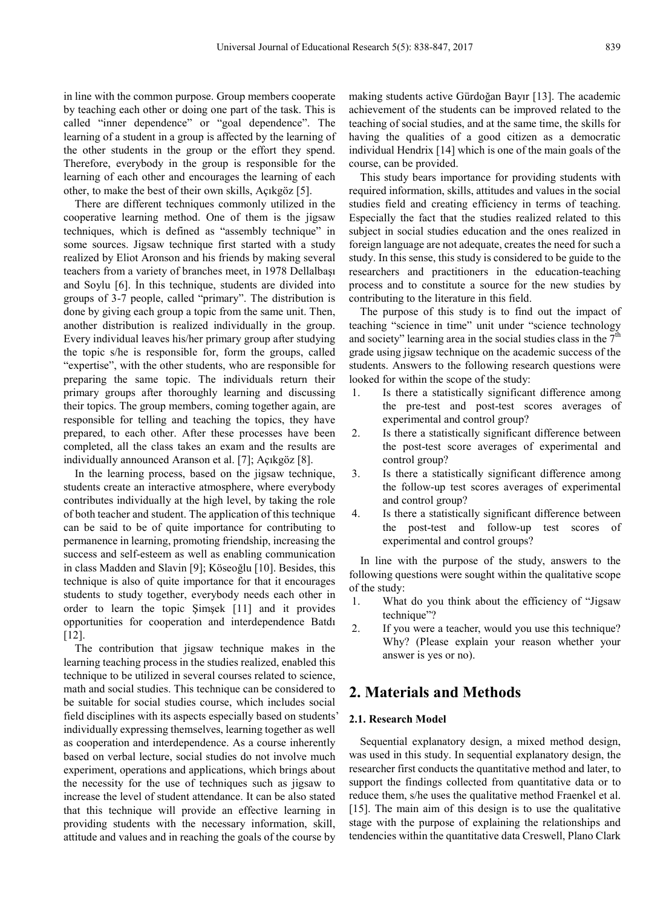in line with the common purpose. Group members cooperate by teaching each other or doing one part of the task. This is called "inner dependence" or "goal dependence". The learning of a student in a group is affected by the learning of the other students in the group or the effort they spend. Therefore, everybody in the group is responsible for the learning of each other and encourages the learning of each other, to make the best of their own skills, Açıkgöz [5].

There are different techniques commonly utilized in the cooperative learning method. One of them is the jigsaw techniques, which is defined as "assembly technique" in some sources. Jigsaw technique first started with a study realized by Eliot Aronson and his friends by making several teachers from a variety of branches meet, in 1978 Dellalbaşı and Soylu [6]. İn this technique, students are divided into groups of 3-7 people, called "primary". The distribution is done by giving each group a topic from the same unit. Then, another distribution is realized individually in the group. Every individual leaves his/her primary group after studying the topic s/he is responsible for, form the groups, called "expertise", with the other students, who are responsible for preparing the same topic. The individuals return their primary groups after thoroughly learning and discussing their topics. The group members, coming together again, are responsible for telling and teaching the topics, they have prepared, to each other. After these processes have been completed, all the class takes an exam and the results are individually announced Aranson et al. [7]; Açıkgöz [8].

In the learning process, based on the jigsaw technique, students create an interactive atmosphere, where everybody contributes individually at the high level, by taking the role of both teacher and student. The application of this technique can be said to be of quite importance for contributing to permanence in learning, promoting friendship, increasing the success and self-esteem as well as enabling communication in class Madden and Slavin [9]; Köseoğlu [10]. Besides, this technique is also of quite importance for that it encourages students to study together, everybody needs each other in order to learn the topic Şimşek [11] and it provides opportunities for cooperation and interdependence Batdı [12].

The contribution that jigsaw technique makes in the learning teaching process in the studies realized, enabled this technique to be utilized in several courses related to science, math and social studies. This technique can be considered to be suitable for social studies course, which includes social field disciplines with its aspects especially based on students' individually expressing themselves, learning together as well as cooperation and interdependence. As a course inherently based on verbal lecture, social studies do not involve much experiment, operations and applications, which brings about the necessity for the use of techniques such as jigsaw to increase the level of student attendance. It can be also stated that this technique will provide an effective learning in providing students with the necessary information, skill, attitude and values and in reaching the goals of the course by

making students active Gürdoğan Bayır [13]. The academic achievement of the students can be improved related to the teaching of social studies, and at the same time, the skills for having the qualities of a good citizen as a democratic individual Hendrix [14] which is one of the main goals of the course, can be provided.

This study bears importance for providing students with required information, skills, attitudes and values in the social studies field and creating efficiency in terms of teaching. Especially the fact that the studies realized related to this subject in social studies education and the ones realized in foreign language are not adequate, creates the need for such a study. In this sense, this study is considered to be guide to the researchers and practitioners in the education-teaching process and to constitute a source for the new studies by contributing to the literature in this field.

The purpose of this study is to find out the impact of teaching "science in time" unit under "science technology and society" learning area in the social studies class in the  $7<sup>th</sup>$ grade using jigsaw technique on the academic success of the students. Answers to the following research questions were looked for within the scope of the study:

- 1. Is there a statistically significant difference among the pre-test and post-test scores averages of experimental and control group?
- 2. Is there a statistically significant difference between the post-test score averages of experimental and control group?
- 3. Is there a statistically significant difference among the follow-up test scores averages of experimental and control group?
- 4. Is there a statistically significant difference between the post-test and follow-up test scores of experimental and control groups?

In line with the purpose of the study, answers to the following questions were sought within the qualitative scope of the study:

- 1. What do you think about the efficiency of "Jigsaw technique"?
- 2. If you were a teacher, would you use this technique? Why? (Please explain your reason whether your answer is yes or no).

# **2. Materials and Methods**

#### **2.1. Research Model**

Sequential explanatory design, a mixed method design, was used in this study. In sequential explanatory design, the researcher first conducts the quantitative method and later, to support the findings collected from quantitative data or to reduce them, s/he uses the qualitative method Fraenkel et al. [15]. The main aim of this design is to use the qualitative stage with the purpose of explaining the relationships and tendencies within the quantitative data Creswell, Plano Clark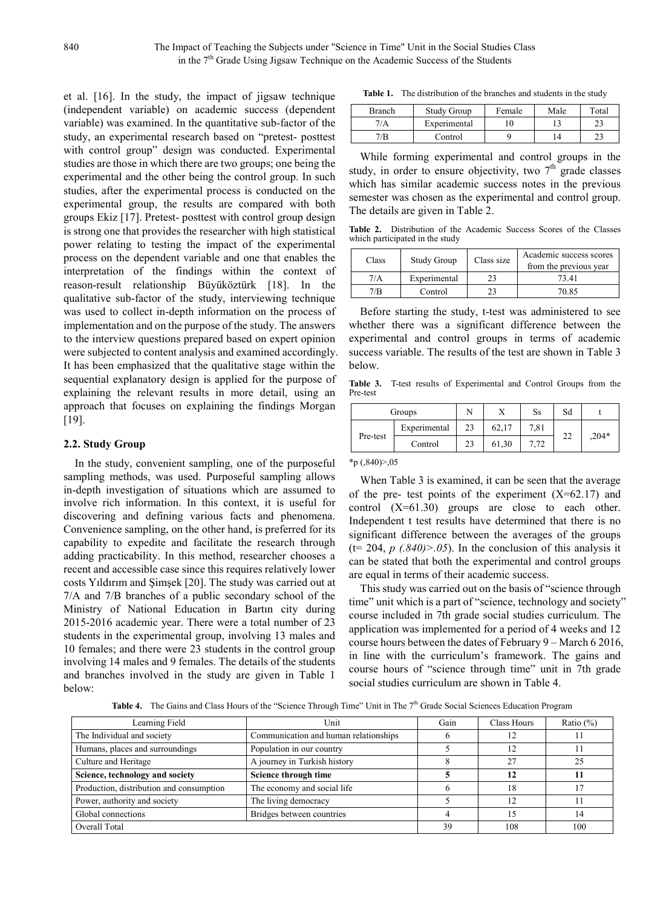et al. [16]. In the study, the impact of jigsaw technique (independent variable) on academic success (dependent variable) was examined. In the quantitative sub-factor of the study, an experimental research based on "pretest- posttest with control group" design was conducted. Experimental studies are those in which there are two groups; one being the experimental and the other being the control group. In such studies, after the experimental process is conducted on the experimental group, the results are compared with both groups Ekiz [17]. Pretest- posttest with control group design is strong one that provides the researcher with high statistical power relating to testing the impact of the experimental process on the dependent variable and one that enables the interpretation of the findings within the context of reason-result relationship Büyüköztürk [18]. In the qualitative sub-factor of the study, interviewing technique was used to collect in-depth information on the process of implementation and on the purpose of the study. The answers to the interview questions prepared based on expert opinion were subjected to content analysis and examined accordingly. It has been emphasized that the qualitative stage within the sequential explanatory design is applied for the purpose of explaining the relevant results in more detail, using an approach that focuses on explaining the findings Morgan [19].

#### **2.2. Study Group**

In the study, convenient sampling, one of the purposeful sampling methods, was used. Purposeful sampling allows in-depth investigation of situations which are assumed to involve rich information. In this context, it is useful for discovering and defining various facts and phenomena. Convenience sampling, on the other hand, is preferred for its capability to expedite and facilitate the research through adding practicability. In this method, researcher chooses a recent and accessible case since this requires relatively lower costs Yıldırım and Şimşek [20]. The study was carried out at 7/A and 7/B branches of a public secondary school of the Ministry of National Education in Bartın city during 2015-2016 academic year. There were a total number of 23 students in the experimental group, involving 13 males and 10 females; and there were 23 students in the control group involving 14 males and 9 females. The details of the students and branches involved in the study are given in Table 1 below:

**Table 1.** The distribution of the branches and students in the study

| Branch | <b>Study Group</b> | Female | Male | Total |
|--------|--------------------|--------|------|-------|
| 7/A    | Experimental       |        |      |       |
| 7/B    | Control            |        |      |       |

While forming experimental and control groups in the study, in order to ensure objectivity, two  $7<sup>th</sup>$  grade classes which has similar academic success notes in the previous semester was chosen as the experimental and control group. The details are given in Table 2.

**Table 2.** Distribution of the Academic Success Scores of the Classes which participated in the study

| Class | <b>Study Group</b> | Class size | Academic success scores<br>from the previous year |
|-------|--------------------|------------|---------------------------------------------------|
| 7/A   | Experimental       | 2          | 73.41                                             |
| 7/B   | Control            | 23         | 70.85                                             |

Before starting the study, t-test was administered to see whether there was a significant difference between the experimental and control groups in terms of academic success variable. The results of the test are shown in Table 3 below.

**Table 3.** T-test results of Experimental and Control Groups from the Pre-test

| Groups   |              |    |       | Ss   | Sd |         |
|----------|--------------|----|-------|------|----|---------|
| Pre-test | Experimental | 23 | 62,17 | 7.81 |    |         |
|          | Control      | 23 | 61,30 | 7 72 | 22 | $,204*$ |

#### \*p (,840)>,05

When Table 3 is examined, it can be seen that the average of the pre- test points of the experiment  $(X=62.17)$  and control (X=61.30) groups are close to each other. Independent t test results have determined that there is no significant difference between the averages of the groups  $(t= 204, p \cdot (840)$  $> 0.05$ ). In the conclusion of this analysis it can be stated that both the experimental and control groups are equal in terms of their academic success.

This study was carried out on the basis of "science through time" unit which is a part of "science, technology and society" course included in 7th grade social studies curriculum. The application was implemented for a period of 4 weeks and 12 course hours between the dates of February 9 – March 6 2016, in line with the curriculum's framework. The gains and course hours of "science through time" unit in 7th grade social studies curriculum are shown in Table 4.

Table 4. The Gains and Class Hours of the "Science Through Time" Unit in The 7<sup>th</sup> Grade Social Sciences Education Program

| Learning Field                           | Unit                                  | Gain | Class Hours | Ratio $(\%)$ |
|------------------------------------------|---------------------------------------|------|-------------|--------------|
| The Individual and society               | Communication and human relationships |      |             |              |
| Humans, places and surroundings          | Population in our country             |      |             |              |
| Culture and Heritage                     | A journey in Turkish history          |      | 27          | 25           |
| Science, technology and society          | Science through time                  |      | 12          | 11           |
| Production, distribution and consumption | The economy and social life           |      | 8           |              |
| Power, authority and society             | The living democracy                  |      | 12          | 11           |
| Global connections                       | Bridges between countries             |      |             | 14           |
| Overall Total                            |                                       | 39   | 108         | 100          |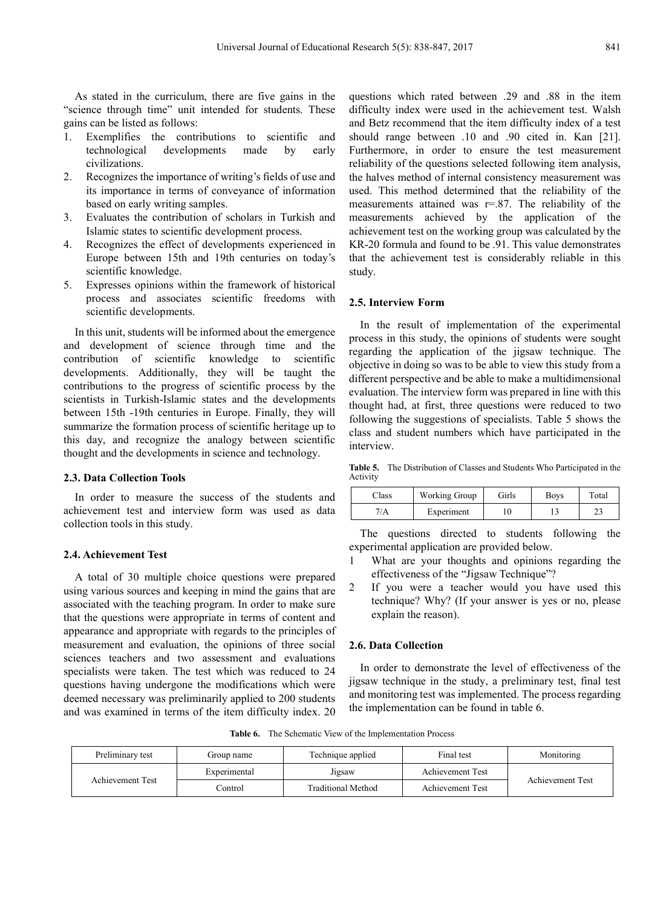As stated in the curriculum, there are five gains in the "science through time" unit intended for students. These gains can be listed as follows:

- 1. Exemplifies the contributions to scientific and technological developments made by early civilizations.
- 2. Recognizes the importance of writing's fields of use and its importance in terms of conveyance of information based on early writing samples.
- 3. Evaluates the contribution of scholars in Turkish and Islamic states to scientific development process.
- 4. Recognizes the effect of developments experienced in Europe between 15th and 19th centuries on today's scientific knowledge.
- 5. Expresses opinions within the framework of historical process and associates scientific freedoms with scientific developments.

In this unit, students will be informed about the emergence and development of science through time and the contribution of scientific knowledge to scientific developments. Additionally, they will be taught the contributions to the progress of scientific process by the scientists in Turkish-Islamic states and the developments between 15th -19th centuries in Europe. Finally, they will summarize the formation process of scientific heritage up to this day, and recognize the analogy between scientific thought and the developments in science and technology.

#### **2.3. Data Collection Tools**

In order to measure the success of the students and achievement test and interview form was used as data collection tools in this study.

#### **2.4. Achievement Test**

A total of 30 multiple choice questions were prepared using various sources and keeping in mind the gains that are associated with the teaching program. In order to make sure that the questions were appropriate in terms of content and appearance and appropriate with regards to the principles of measurement and evaluation, the opinions of three social sciences teachers and two assessment and evaluations specialists were taken. The test which was reduced to 24 questions having undergone the modifications which were deemed necessary was preliminarily applied to 200 students and was examined in terms of the item difficulty index. 20 questions which rated between .29 and .88 in the item difficulty index were used in the achievement test. Walsh and Betz recommend that the item difficulty index of a test should range between .10 and .90 cited in. Kan [21]. Furthermore, in order to ensure the test measurement reliability of the questions selected following item analysis, the halves method of internal consistency measurement was used. This method determined that the reliability of the measurements attained was  $r=0.87$ . The reliability of the measurements achieved by the application of the achievement test on the working group was calculated by the KR-20 formula and found to be .91. This value demonstrates that the achievement test is considerably reliable in this study.

#### **2.5. Interview Form**

In the result of implementation of the experimental process in this study, the opinions of students were sought regarding the application of the jigsaw technique. The objective in doing so was to be able to view this study from a different perspective and be able to make a multidimensional evaluation. The interview form was prepared in line with this thought had, at first, three questions were reduced to two following the suggestions of specialists. Table 5 shows the class and student numbers which have participated in the interview.

**Table 5.** The Distribution of Classes and Students Who Participated in the Activity

| Class | <b>Working Group</b> | Girls | <b>Boys</b> | Total |
|-------|----------------------|-------|-------------|-------|
|       | Experiment           |       |             | ن ک   |

The questions directed to students following the experimental application are provided below.

- 1 What are your thoughts and opinions regarding the effectiveness of the "Jigsaw Technique"?
- 2 If you were a teacher would you have used this technique? Why? (If your answer is yes or no, please explain the reason).

#### **2.6. Data Collection**

In order to demonstrate the level of effectiveness of the jigsaw technique in the study, a preliminary test, final test and monitoring test was implemented. The process regarding the implementation can be found in table 6.

**Table 6.** The Schematic View of the Implementation Process

| Preliminary test | Group name   | Technique applied  | Final test       | Monitoring       |
|------------------|--------------|--------------------|------------------|------------------|
| Achievement Test | Experimental | Jigsaw             | Achievement Test |                  |
|                  | Control      | Traditional Method | Achievement Test | Achievement Test |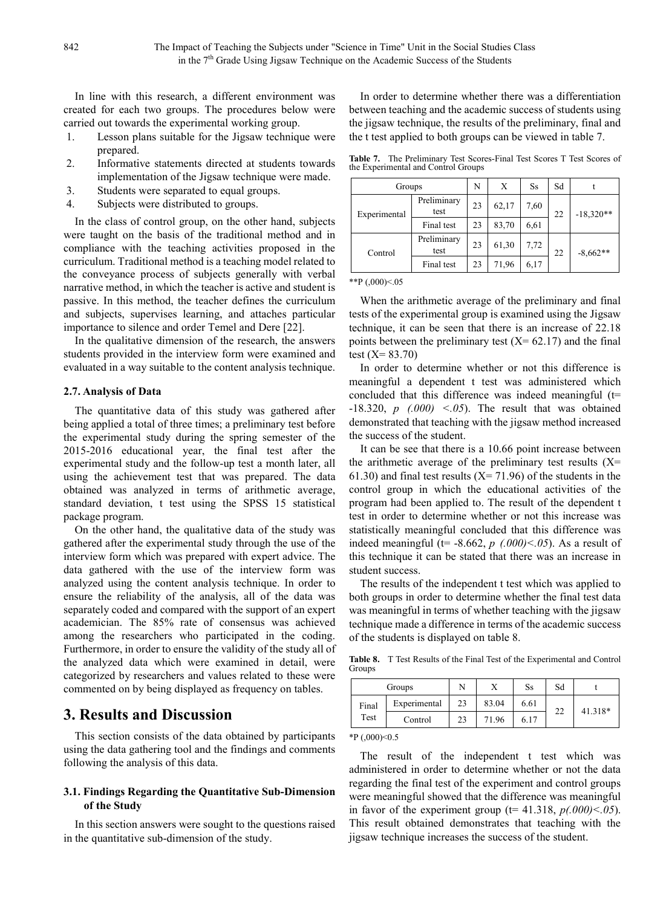In line with this research, a different environment was created for each two groups. The procedures below were carried out towards the experimental working group.

- 1. Lesson plans suitable for the Jigsaw technique were prepared.
- 2. Informative statements directed at students towards implementation of the Jigsaw technique were made.
- 3. Students were separated to equal groups.
- 4. Subjects were distributed to groups.

In the class of control group, on the other hand, subjects were taught on the basis of the traditional method and in compliance with the teaching activities proposed in the curriculum. Traditional method is a teaching model related to the conveyance process of subjects generally with verbal narrative method, in which the teacher is active and student is passive. In this method, the teacher defines the curriculum and subjects, supervises learning, and attaches particular importance to silence and order Temel and Dere [22].

In the qualitative dimension of the research, the answers students provided in the interview form were examined and evaluated in a way suitable to the content analysis technique.

#### **2.7. Analysis of Data**

The quantitative data of this study was gathered after being applied a total of three times; a preliminary test before the experimental study during the spring semester of the 2015-2016 educational year, the final test after the experimental study and the follow-up test a month later, all using the achievement test that was prepared. The data obtained was analyzed in terms of arithmetic average, standard deviation, t test using the SPSS 15 statistical package program.

On the other hand, the qualitative data of the study was gathered after the experimental study through the use of the interview form which was prepared with expert advice. The data gathered with the use of the interview form was analyzed using the content analysis technique. In order to ensure the reliability of the analysis, all of the data was separately coded and compared with the support of an expert academician. The 85% rate of consensus was achieved among the researchers who participated in the coding. Furthermore, in order to ensure the validity of the study all of the analyzed data which were examined in detail, were categorized by researchers and values related to these were commented on by being displayed as frequency on tables.

## **3. Results and Discussion**

This section consists of the data obtained by participants using the data gathering tool and the findings and comments following the analysis of this data.

#### **3.1. Findings Regarding the Quantitative Sub-Dimension of the Study**

In this section answers were sought to the questions raised in the quantitative sub-dimension of the study.

In order to determine whether there was a differentiation between teaching and the academic success of students using the jigsaw technique, the results of the preliminary, final and the t test applied to both groups can be viewed in table 7.

**Table 7.** The Preliminary Test Scores-Final Test Scores T Test Scores of the Experimental and Control Groups

| Groups       |                     | N  | X     | <b>Ss</b> | Sd |             |  |
|--------------|---------------------|----|-------|-----------|----|-------------|--|
| Experimental | Preliminary<br>test | 23 | 62,17 | 7,60      | 22 | $-18,320**$ |  |
|              | Final test          | 23 | 83,70 | 6,61      |    |             |  |
| Control      | Preliminary<br>test | 23 | 61,30 | 7,72      | 22 | $-8,662**$  |  |
|              | Final test          | 23 | 71,96 | 6,17      |    |             |  |

\*\*P $(.000)<.05$ 

When the arithmetic average of the preliminary and final tests of the experimental group is examined using the Jigsaw technique, it can be seen that there is an increase of 22.18 points between the preliminary test  $(X= 62.17)$  and the final test  $(X= 83.70)$ 

In order to determine whether or not this difference is meaningful a dependent t test was administered which concluded that this difference was indeed meaningful  $(t=$ -18.320, *p (.000) <.05*). The result that was obtained demonstrated that teaching with the jigsaw method increased the success of the student.

It can be see that there is a 10.66 point increase between the arithmetic average of the preliminary test results  $(X=$ 61.30) and final test results  $(X = 71.96)$  of the students in the control group in which the educational activities of the program had been applied to. The result of the dependent t test in order to determine whether or not this increase was statistically meaningful concluded that this difference was indeed meaningful ( $t=$  -8.662, *p*  $(0.000)<.05$ ). As a result of this technique it can be stated that there was an increase in student success.

The results of the independent t test which was applied to both groups in order to determine whether the final test data was meaningful in terms of whether teaching with the jigsaw technique made a difference in terms of the academic success of the students is displayed on table 8.

**Table 8.** T Test Results of the Final Test of the Experimental and Control Groups

| Experimental<br>83.04<br>23<br>6.61<br>Final<br>41.318*<br>22<br>Test<br>71.96<br>23<br>6.17<br>Control | Groups |  | ୵⊾ | Ss | Sd |  |
|---------------------------------------------------------------------------------------------------------|--------|--|----|----|----|--|
|                                                                                                         |        |  |    |    |    |  |
|                                                                                                         |        |  |    |    |    |  |

\*P $(0.000)<0.5$ 

The result of the independent t test which was administered in order to determine whether or not the data regarding the final test of the experiment and control groups were meaningful showed that the difference was meaningful in favor of the experiment group ( $t= 41.318$ ,  $p(.000) < .05$ ). This result obtained demonstrates that teaching with the jigsaw technique increases the success of the student.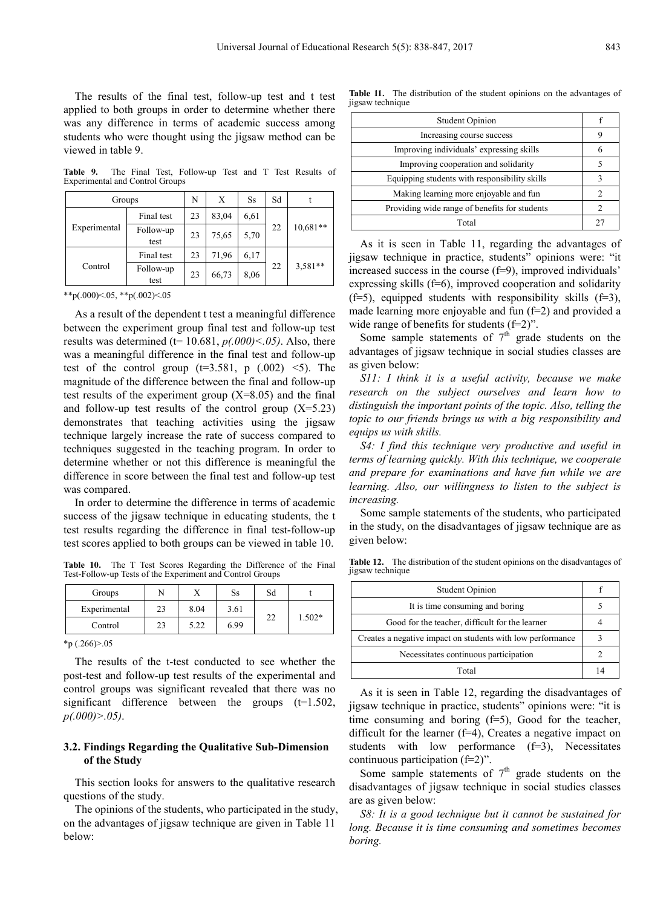The results of the final test, follow-up test and t test applied to both groups in order to determine whether there was any difference in terms of academic success among students who were thought using the jigsaw method can be viewed in table 9.

**Table 9.** The Final Test, Follow-up Test and T Test Results of Experimental and Control Groups

| Groups       |                   | N  | Х     | <b>Ss</b> | Sd |            |  |
|--------------|-------------------|----|-------|-----------|----|------------|--|
| Experimental | Final test        | 23 | 83,04 | 6.61      |    |            |  |
|              | Follow-up<br>test | 23 | 75,65 | 5,70      | 22 | $10,681**$ |  |
| Control      | Final test        | 23 | 71,96 | 6,17      |    |            |  |
|              | Follow-up<br>test | 23 | 66,73 | 8,06      | 22 | $3,581**$  |  |

\*\*p(.000)<.05, \*\*p(.002)<.05

As a result of the dependent t test a meaningful difference between the experiment group final test and follow-up test results was determined (t= 10.681, *p(.000)<.05)*. Also, there was a meaningful difference in the final test and follow-up test of the control group  $(t=3.581, p(.002) \le 5)$ . The magnitude of the difference between the final and follow-up test results of the experiment group  $(X=8.05)$  and the final and follow-up test results of the control group  $(X=5.23)$ demonstrates that teaching activities using the jigsaw technique largely increase the rate of success compared to techniques suggested in the teaching program. In order to determine whether or not this difference is meaningful the difference in score between the final test and follow-up test was compared.

In order to determine the difference in terms of academic success of the jigsaw technique in educating students, the t test results regarding the difference in final test-follow-up test scores applied to both groups can be viewed in table 10.

**Table 10.** The T Test Scores Regarding the Difference of the Final Test-Follow-up Tests of the Experiment and Control Groups

| Groups       |    |      | Ss   | Sd  |          |
|--------------|----|------|------|-----|----------|
| Experimental | າາ | 8.04 | 3.61 |     |          |
| Control      | າາ | 5.22 | 6.99 | سدے | $1.502*$ |

 $*_{p}(.266) > 0.05$ 

The results of the t-test conducted to see whether the post-test and follow-up test results of the experimental and control groups was significant revealed that there was no significant difference between the groups  $(t=1.502)$ , *p(.000)>.05)*.

#### **3.2. Findings Regarding the Qualitative Sub-Dimension of the Study**

This section looks for answers to the qualitative research questions of the study.

The opinions of the students, who participated in the study, on the advantages of jigsaw technique are given in Table 11 below:

**Table 11.** The distribution of the student opinions on the advantages of jigsaw technique

| <b>Student Opinion</b>                        |    |  |  |
|-----------------------------------------------|----|--|--|
| Increasing course success                     |    |  |  |
| Improving individuals' expressing skills      |    |  |  |
| Improving cooperation and solidarity          |    |  |  |
| Equipping students with responsibility skills |    |  |  |
| Making learning more enjoyable and fun        | 2  |  |  |
| Providing wide range of benefits for students | 2  |  |  |
| Total                                         | 27 |  |  |

As it is seen in Table 11, regarding the advantages of jigsaw technique in practice, students" opinions were: "it increased success in the course  $(f=9)$ , improved individuals' expressing skills (f=6), improved cooperation and solidarity  $(f=5)$ , equipped students with responsibility skills  $(f=3)$ , made learning more enjoyable and fun (f=2) and provided a wide range of benefits for students (f=2)".

Some sample statements of  $7<sup>th</sup>$  grade students on the advantages of jigsaw technique in social studies classes are as given below:

*S11: I think it is a useful activity, because we make research on the subject ourselves and learn how to distinguish the important points of the topic. Also, telling the topic to our friends brings us with a big responsibility and equips us with skills.*

*S4: I find this technique very productive and useful in terms of learning quickly. With this technique, we cooperate and prepare for examinations and have fun while we are learning. Also, our willingness to listen to the subject is increasing.*

Some sample statements of the students, who participated in the study, on the disadvantages of jigsaw technique are as given below:

**Table 12.** The distribution of the student opinions on the disadvantages of jigsaw technique

| <b>Student Opinion</b>                                     |  |  |  |
|------------------------------------------------------------|--|--|--|
| It is time consuming and boring                            |  |  |  |
| Good for the teacher, difficult for the learner            |  |  |  |
| Creates a negative impact on students with low performance |  |  |  |
| Necessitates continuous participation                      |  |  |  |
| Total                                                      |  |  |  |

As it is seen in Table 12, regarding the disadvantages of jigsaw technique in practice, students" opinions were: "it is time consuming and boring  $(f=5)$ , Good for the teacher, difficult for the learner (f=4), Creates a negative impact on students with low performance  $(f=3)$ , Necessitates continuous participation (f=2)".

Some sample statements of  $7<sup>th</sup>$  grade students on the disadvantages of jigsaw technique in social studies classes are as given below:

*S8: It is a good technique but it cannot be sustained for long. Because it is time consuming and sometimes becomes boring.*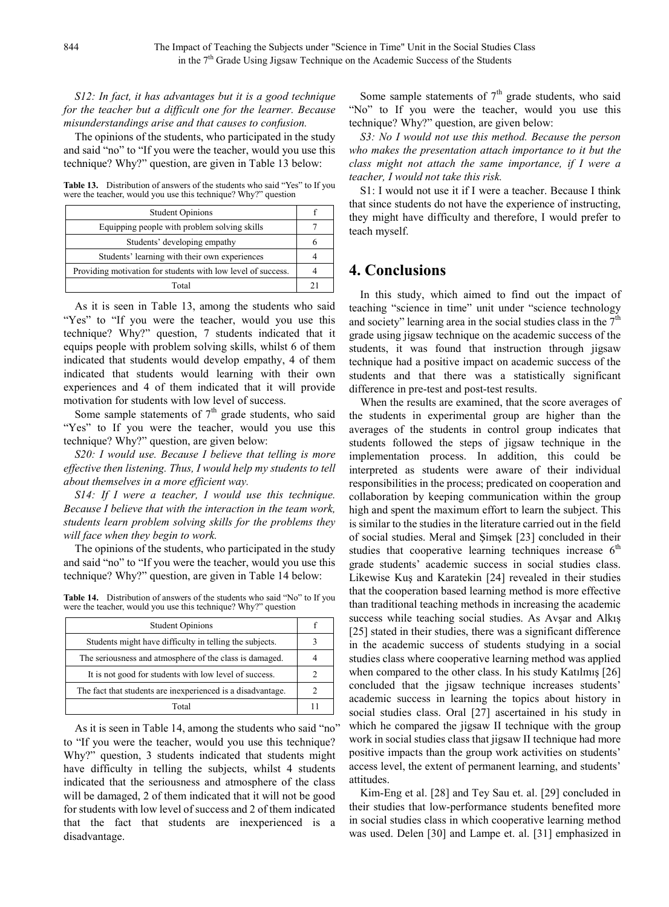*S12: In fact, it has advantages but it is a good technique for the teacher but a difficult one for the learner. Because misunderstandings arise and that causes to confusion.*

The opinions of the students, who participated in the study and said "no" to "If you were the teacher, would you use this technique? Why?" question, are given in Table 13 below:

**Table 13.** Distribution of answers of the students who said "Yes" to If you were the teacher, would you use this technique? Why?" question

| <b>Student Opinions</b>                                      |  |
|--------------------------------------------------------------|--|
| Equipping people with problem solving skills                 |  |
| Students' developing empathy                                 |  |
| Students' learning with their own experiences                |  |
| Providing motivation for students with low level of success. |  |
| Total                                                        |  |

As it is seen in Table 13, among the students who said "Yes" to "If you were the teacher, would you use this technique? Why?" question, 7 students indicated that it equips people with problem solving skills, whilst 6 of them indicated that students would develop empathy, 4 of them indicated that students would learning with their own experiences and 4 of them indicated that it will provide motivation for students with low level of success.

Some sample statements of  $7<sup>th</sup>$  grade students, who said "Yes" to If you were the teacher, would you use this technique? Why?" question, are given below:

*S20: I would use. Because I believe that telling is more effective then listening. Thus, I would help my students to tell about themselves in a more efficient way.*

*S14: If I were a teacher, I would use this technique. Because I believe that with the interaction in the team work, students learn problem solving skills for the problems they will face when they begin to work.*

The opinions of the students, who participated in the study and said "no" to "If you were the teacher, would you use this technique? Why?" question, are given in Table 14 below:

**Table 14.** Distribution of answers of the students who said "No" to If you were the teacher, would you use this technique? Why?" question

| <b>Student Opinions</b>                                     |  |
|-------------------------------------------------------------|--|
| Students might have difficulty in telling the subjects.     |  |
| The seriousness and atmosphere of the class is damaged.     |  |
| It is not good for students with low level of success.      |  |
| The fact that students are inexperienced is a disadvantage. |  |
| Total                                                       |  |

As it is seen in Table 14, among the students who said "no" to "If you were the teacher, would you use this technique? Why?" question, 3 students indicated that students might have difficulty in telling the subjects, whilst 4 students indicated that the seriousness and atmosphere of the class will be damaged, 2 of them indicated that it will not be good for students with low level of success and 2 of them indicated that the fact that students are inexperienced is a disadvantage.

Some sample statements of  $7<sup>th</sup>$  grade students, who said "No" to If you were the teacher, would you use this technique? Why?" question, are given below:

*S3: No I would not use this method. Because the person who makes the presentation attach importance to it but the class might not attach the same importance, if I were a teacher, I would not take this risk.*

S1: I would not use it if I were a teacher. Because I think that since students do not have the experience of instructing, they might have difficulty and therefore, I would prefer to teach myself.

# **4. Conclusions**

In this study, which aimed to find out the impact of teaching "science in time" unit under "science technology and society" learning area in the social studies class in the  $7<sup>th</sup>$ grade using jigsaw technique on the academic success of the students, it was found that instruction through jigsaw technique had a positive impact on academic success of the students and that there was a statistically significant difference in pre-test and post-test results.

When the results are examined, that the score averages of the students in experimental group are higher than the averages of the students in control group indicates that students followed the steps of jigsaw technique in the implementation process. In addition, this could be interpreted as students were aware of their individual responsibilities in the process; predicated on cooperation and collaboration by keeping communication within the group high and spent the maximum effort to learn the subject. This is similar to the studies in the literature carried out in the field of social studies. Meral and Şimşek [23] concluded in their studies that cooperative learning techniques increase  $6<sup>th</sup>$ grade students' academic success in social studies class. Likewise Kuş and Karatekin [24] revealed in their studies that the cooperation based learning method is more effective than traditional teaching methods in increasing the academic success while teaching social studies. As Avşar and Alkış [25] stated in their studies, there was a significant difference in the academic success of students studying in a social studies class where cooperative learning method was applied when compared to the other class. In his study Katılmış [26] concluded that the jigsaw technique increases students' academic success in learning the topics about history in social studies class. Oral [27] ascertained in his study in which he compared the jigsaw II technique with the group work in social studies class that jigsaw II technique had more positive impacts than the group work activities on students' access level, the extent of permanent learning, and students' attitudes.

Kim-Eng et al. [28] and Tey Sau et. al. [29] concluded in their studies that low-performance students benefited more in social studies class in which cooperative learning method was used. Delen [30] and Lampe et. al. [31] emphasized in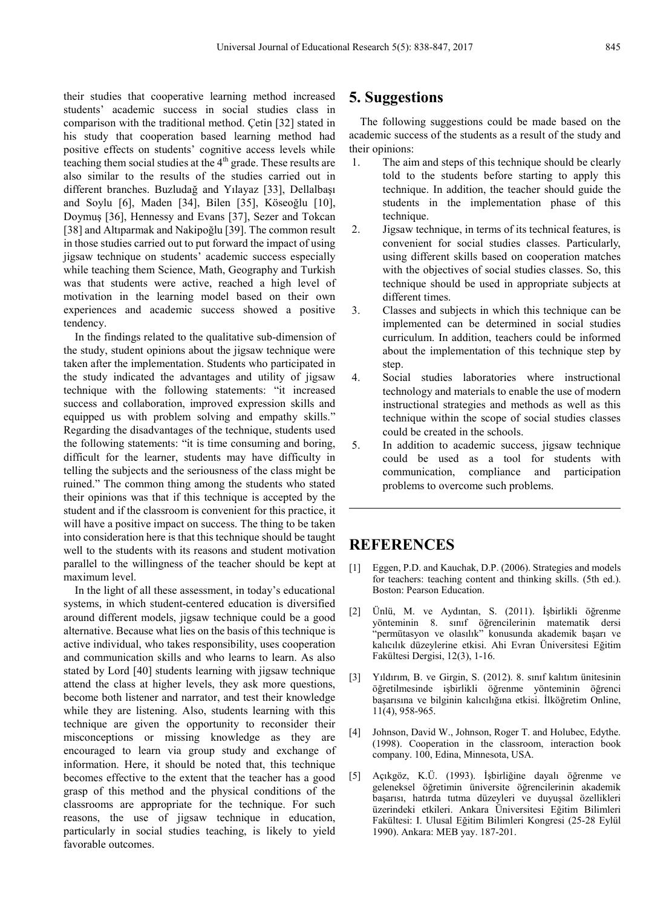their studies that cooperative learning method increased students' academic success in social studies class in comparison with the traditional method. Çetin [32] stated in his study that cooperation based learning method had positive effects on students' cognitive access levels while teaching them social studies at the  $4<sup>th</sup>$  grade. These results are also similar to the results of the studies carried out in different branches. Buzludağ and Yılayaz [33], Dellalbaşı and Soylu [6], Maden [34], Bilen [35], Köseoğlu [10], Doymuş [36], Hennessy and Evans [37], Sezer and Tokcan [38] and Altıparmak and Nakipoğlu [39]. The common result in those studies carried out to put forward the impact of using jigsaw technique on students' academic success especially while teaching them Science, Math, Geography and Turkish was that students were active, reached a high level of motivation in the learning model based on their own experiences and academic success showed a positive tendency.

In the findings related to the qualitative sub-dimension of the study, student opinions about the jigsaw technique were taken after the implementation. Students who participated in the study indicated the advantages and utility of jigsaw technique with the following statements: "it increased success and collaboration, improved expression skills and equipped us with problem solving and empathy skills." Regarding the disadvantages of the technique, students used the following statements: "it is time consuming and boring, difficult for the learner, students may have difficulty in telling the subjects and the seriousness of the class might be ruined." The common thing among the students who stated their opinions was that if this technique is accepted by the student and if the classroom is convenient for this practice, it will have a positive impact on success. The thing to be taken into consideration here is that this technique should be taught well to the students with its reasons and student motivation parallel to the willingness of the teacher should be kept at maximum level.

In the light of all these assessment, in today's educational systems, in which student-centered education is diversified around different models, jigsaw technique could be a good alternative. Because what lies on the basis of this technique is active individual, who takes responsibility, uses cooperation and communication skills and who learns to learn. As also stated by Lord [40] students learning with jigsaw technique attend the class at higher levels, they ask more questions, become both listener and narrator, and test their knowledge while they are listening. Also, students learning with this technique are given the opportunity to reconsider their misconceptions or missing knowledge as they are encouraged to learn via group study and exchange of information. Here, it should be noted that, this technique becomes effective to the extent that the teacher has a good grasp of this method and the physical conditions of the classrooms are appropriate for the technique. For such reasons, the use of jigsaw technique in education, particularly in social studies teaching, is likely to yield favorable outcomes.

## **5. Suggestions**

The following suggestions could be made based on the academic success of the students as a result of the study and their opinions:

- 1. The aim and steps of this technique should be clearly told to the students before starting to apply this technique. In addition, the teacher should guide the students in the implementation phase of this technique.
- 2. Jigsaw technique, in terms of its technical features, is convenient for social studies classes. Particularly, using different skills based on cooperation matches with the objectives of social studies classes. So, this technique should be used in appropriate subjects at different times.
- 3. Classes and subjects in which this technique can be implemented can be determined in social studies curriculum. In addition, teachers could be informed about the implementation of this technique step by step.
- 4. Social studies laboratories where instructional technology and materials to enable the use of modern instructional strategies and methods as well as this technique within the scope of social studies classes could be created in the schools.
- 5. In addition to academic success, jigsaw technique could be used as a tool for students with communication, compliance and participation problems to overcome such problems.

## **REFERENCES**

- [1] Eggen, P.D. and Kauchak, D.P. (2006). Strategies and models for teachers: teaching content and thinking skills. (5th ed.). Boston: Pearson Education.
- [2] Ünlü, M. ve Aydıntan, S. (2011). İşbirlikli öğrenme yönteminin 8. sınıf öğrencilerinin matematik dersi "permütasyon ve olasılık" konusunda akademik başarı ve kalıcılık düzeylerine etkisi. Ahi Evran Üniversitesi Eğitim Fakültesi Dergisi, 12(3), 1-16.
- [3] Yıldırım, B. ve Girgin, S. (2012). 8. sınıf kalıtım ünitesinin öğretilmesinde işbirlikli öğrenme yönteminin öğrenci başarısına ve bilginin kalıcılığına etkisi. İlköğretim Online, 11(4), 958-965.
- [4] Johnson, David W., Johnson, Roger T. and Holubec, Edythe. (1998). Cooperation in the classroom, interaction book company. 100, Edina, Minnesota, USA.
- [5] Açıkgöz, K.Ü. (1993). İşbirliğine dayalı öğrenme ve geleneksel öğretimin üniversite öğrencilerinin akademik başarısı, hatırda tutma düzeyleri ve duyuşsal özellikleri üzerindeki etkileri. Ankara Üniversitesi Eğitim Bilimleri Fakültesi: I. Ulusal Eğitim Bilimleri Kongresi (25-28 Eylül 1990). Ankara: MEB yay. 187-201.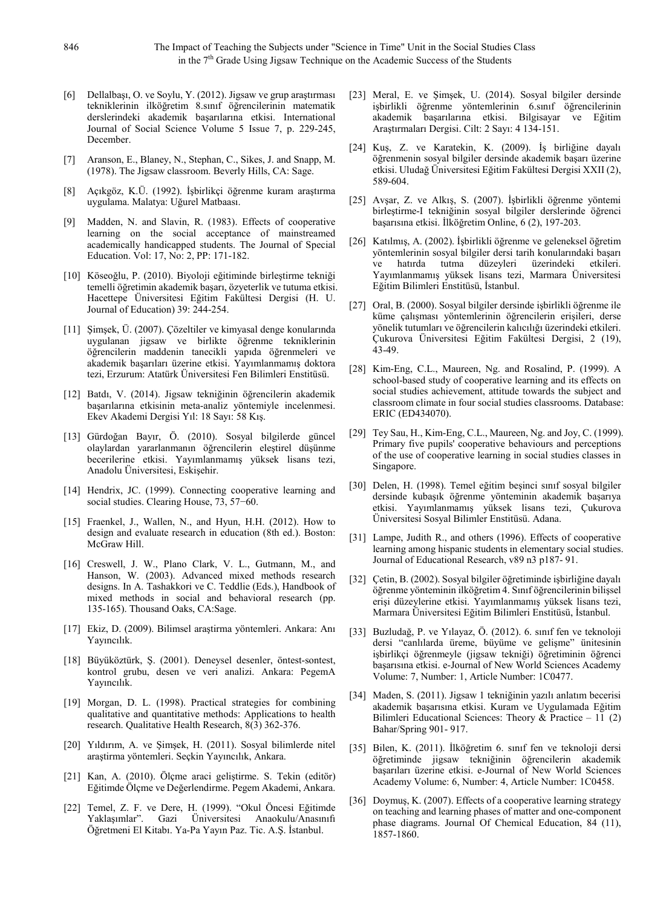- [6] Dellalbaşı, O. ve Soylu, Y. (2012). Jigsaw ve grup araştırması tekniklerinin ilköğretim 8.sınıf öğrencilerinin matematik derslerindeki akademik başarılarına etkisi. International Journal of Social Science Volume 5 Issue 7, p. 229-245, December.
- [7] Aranson, E., Blaney, N., Stephan, C., Sikes, J. and Snapp, M. (1978). The Jigsaw classroom. Beverly Hills, CA: Sage.
- [8] Açıkgöz, K.Ü. (1992). İşbirlikçi öğrenme kuram araştırma uygulama. Malatya: Uğurel Matbaası.
- [9] Madden, N. and Slavin, R. (1983). Effects of cooperative learning on the social acceptance of mainstreamed academically handicapped students. The Journal of Special Education. Vol: 17, No: 2, PP: 171-182.
- [10] Köseoğlu, P. (2010). Biyoloji eğitiminde birleştirme tekniği temelli öğretimin akademik başarı, özyeterlik ve tutuma etkisi. Hacettepe Üniversitesi Eğitim Fakültesi Dergisi (H. U. Journal of Education) 39: 244-254.
- [11] Şimşek, Ü. (2007). Çözeltiler ve kimyasal denge konularında uygulanan jigsaw ve birlikte öğrenme tekniklerinin öğrencilerin maddenin tanecikli yapıda öğrenmeleri ve akademik başarıları üzerine etkisi. Yayımlanmamış doktora tezi, Erzurum: Atatürk Üniversitesi Fen Bilimleri Enstitüsü.
- [12] Batdı, V. (2014). Jigsaw tekniğinin öğrencilerin akademik başarılarına etkisinin meta-analiz yöntemiyle incelenmesi. Ekev Akademi Dergisi Yıl: 18 Sayı: 58 Kış.
- [13] Gürdoğan Bayır, Ö. (2010). Sosyal bilgilerde güncel olaylardan yararlanmanın öğrencilerin eleştirel düşünme becerilerine etkisi. Yayımlanmamış yüksek lisans tezi, Anadolu Üniversitesi, Eskişehir.
- [14] Hendrix, JC. (1999). Connecting cooperative learning and social studies. Clearing House, 73, 57−60.
- [15] Fraenkel, J., Wallen, N., and Hyun, H.H. (2012). How to design and evaluate research in education (8th ed.). Boston: McGraw Hill.
- [16] Creswell, J. W., Plano Clark, V. L., Gutmann, M., and Hanson, W. (2003). Advanced mixed methods research designs. In A. Tashakkori ve C. Teddlie (Eds.), Handbook of mixed methods in social and behavioral research (pp. 135-165). Thousand Oaks, CA:Sage.
- [17] Ekiz, D. (2009). Bilimsel araştirma yöntemleri. Ankara: Anı Yayıncılık.
- [18] Büyüköztürk, Ş. (2001). Deneysel desenler, öntest-sontest, kontrol grubu, desen ve veri analizi. Ankara: PegemA Yayıncılık.
- [19] Morgan, D. L. (1998). Practical strategies for combining qualitative and quantitative methods: Applications to health research. Qualitative Health Research, 8(3) 362-376.
- [20] Yıldırım, A. ve Şimşek, H. (2011). Sosyal bilimlerde nitel araştirma yöntemleri. Seçkin Yayıncılık, Ankara.
- [21] Kan, A. (2010). Ölçme araci geliştirme. S. Tekin (editör) Eğitimde Ölçme ve Değerlendirme. Pegem Akademi, Ankara.
- [22] Temel, Z. F. ve Dere, H. (1999). "Okul Öncesi Eğitimde Yaklaşımlar". Gazi Üniversitesi Anaokulu/Anasınıfı Öğretmeni El Kitabı. Ya-Pa Yayın Paz. Tic. A.Ş. İstanbul.
- [23] Meral, E. ve Şimşek, U. (2014). Sosyal bilgiler dersinde işbirlikli öğrenme yöntemlerinin 6.sınıf öğrencilerinin akademik başarılarına etkisi. Bilgisayar ve Eğitim Araştırmaları Dergisi. Cilt: 2 Sayı: 4 134-151.
- [24] Kuş, Z. ve Karatekin, K. (2009). İş birliğine dayalı öğrenmenin sosyal bilgiler dersinde akademik başarı üzerine etkisi. Uludağ Üniversitesi Eğitim Fakültesi Dergisi XXII (2), 589-604.
- [25] Avşar, Z. ve Alkış, S. (2007). İşbirlikli öğrenme yöntemi birleştirme-I tekniğinin sosyal bilgiler derslerinde öğrenci başarısına etkisi. İlköğretim Online, 6 (2), 197-203.
- [26] Katılmış, A. (2002). İşbirlikli öğrenme ve geleneksel öğretim yöntemlerinin sosyal bilgiler dersi tarih konularındaki başarı ve hatırda tutma düzeyleri üzerindeki etkileri. Yayımlanmamış yüksek lisans tezi, Marmara Üniversitesi Eğitim Bilimleri Enstitüsü, İstanbul.
- [27] Oral, B. (2000). Sosyal bilgiler dersinde işbirlikli öğrenme ile küme çalışması yöntemlerinin öğrencilerin erişileri, derse yönelik tutumları ve öğrencilerin kalıcılığı üzerindeki etkileri. Çukurova Üniversitesi Eğitim Fakültesi Dergisi, 2 (19), 43-49.
- [28] Kim-Eng, C.L., Maureen, Ng. and Rosalind, P. (1999). A school-based study of cooperative learning and its effects on social studies achievement, attitude towards the subject and classroom climate in four social studies classrooms. Database: ERIC (ED434070).
- [29] Tey Sau, H., Kim-Eng, C.L., Maureen, Ng. and Joy, C. (1999). Primary five pupils' cooperative behaviours and perceptions of the use of cooperative learning in social studies classes in Singapore.
- [30] Delen, H. (1998). Temel eğitim beşinci sınıf sosyal bilgiler dersinde kubaşık öğrenme yönteminin akademik başarıya etkisi. Yayımlanmamış yüksek lisans tezi, Çukurova Üniversitesi Sosyal Bilimler Enstitüsü. Adana.
- [31] Lampe, Judith R., and others (1996). Effects of cooperative learning among hispanic students in elementary social studies. Journal of Educational Research, v89 n3 p187- 91.
- [32] Çetin, B. (2002). Sosyal bilgiler öğretiminde işbirliğine dayalı öğrenme yönteminin ilköğretim 4. Sınıf öğrencilerinin bilişsel erişi düzeylerine etkisi. Yayımlanmamış yüksek lisans tezi, Marmara Üniversitesi Eğitim Bilimleri Enstitüsü, İstanbul.
- [33] Buzludağ, P. ve Yılayaz, Ö. (2012). 6. sınıf fen ve teknoloji dersi "canlılarda üreme, büyüme ve gelişme" ünitesinin işbirlikçi öğrenmeyle (jigsaw tekniği) öğretiminin öğrenci başarısına etkisi. e-Journal of New World Sciences Academy Volume: 7, Number: 1, Article Number: 1C0477.
- [34] Maden, S. (2011). Jigsaw 1 tekniğinin yazılı anlatım becerisi akademik başarısına etkisi. Kuram ve Uygulamada Eğitim Bilimleri Educational Sciences: Theory & Practice – 11 (2) Bahar/Spring 901- 917.
- [35] Bilen, K. (2011). İlköğretim 6. sınıf fen ve teknoloji dersi öğretiminde jigsaw tekniğinin öğrencilerin akademik başarıları üzerine etkisi. e-Journal of New World Sciences Academy Volume: 6, Number: 4, Article Number: 1C0458.
- [36] Doymuş, K. (2007). Effects of a cooperative learning strategy on teaching and learning phases of matter and one-component phase diagrams. Journal Of Chemical Education, 84 (11), 1857-1860.